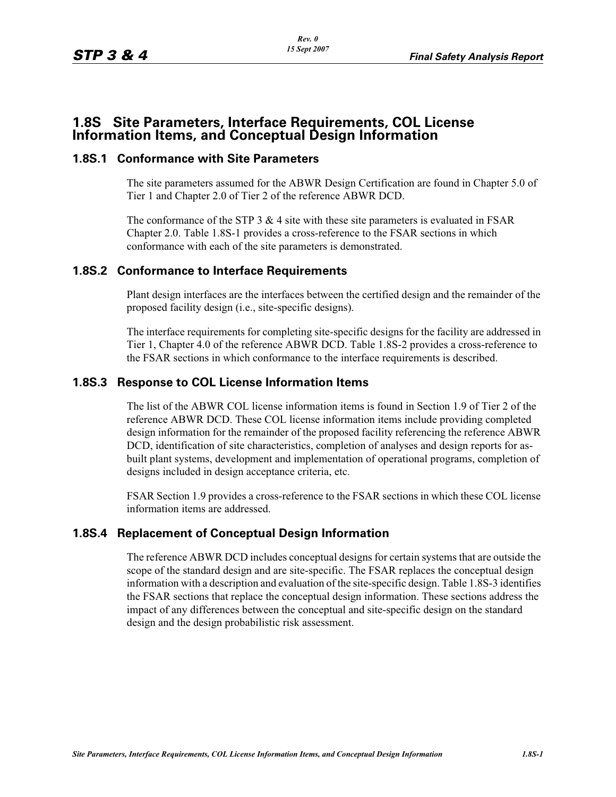# **1.8S Site Parameters, Interface Requirements, COL License Information Items, and Conceptual Design Information**

### **1.8S.1 Conformance with Site Parameters**

The site parameters assumed for the ABWR Design Certification are found in Chapter 5.0 of Tier 1 and Chapter 2.0 of Tier 2 of the reference ABWR DCD.

The conformance of the STP  $3 \& 4$  site with these site parameters is evaluated in FSAR Chapter 2.0. Table 1.8S-1 provides a cross-reference to the FSAR sections in which conformance with each of the site parameters is demonstrated.

## **1.8S.2 Conformance to Interface Requirements**

Plant design interfaces are the interfaces between the certified design and the remainder of the proposed facility design (i.e., site-specific designs).

The interface requirements for completing site-specific designs for the facility are addressed in Tier 1, Chapter 4.0 of the reference ABWR DCD. Table 1.8S-2 provides a cross-reference to the FSAR sections in which conformance to the interface requirements is described.

### **1.8S.3 Response to COL License Information Items**

The list of the ABWR COL license information items is found in Section 1.9 of Tier 2 of the reference ABWR DCD. These COL license information items include providing completed design information for the remainder of the proposed facility referencing the reference ABWR DCD, identification of site characteristics, completion of analyses and design reports for asbuilt plant systems, development and implementation of operational programs, completion of designs included in design acceptance criteria, etc.

FSAR Section 1.9 provides a cross-reference to the FSAR sections in which these COL license information items are addressed.

#### **1.8S.4 Replacement of Conceptual Design Information**

The reference ABWR DCD includes conceptual designs for certain systems that are outside the scope of the standard design and are site-specific. The FSAR replaces the conceptual design information with a description and evaluation of the site-specific design. Table 1.8S-3 identifies the FSAR sections that replace the conceptual design information. These sections address the impact of any differences between the conceptual and site-specific design on the standard design and the design probabilistic risk assessment.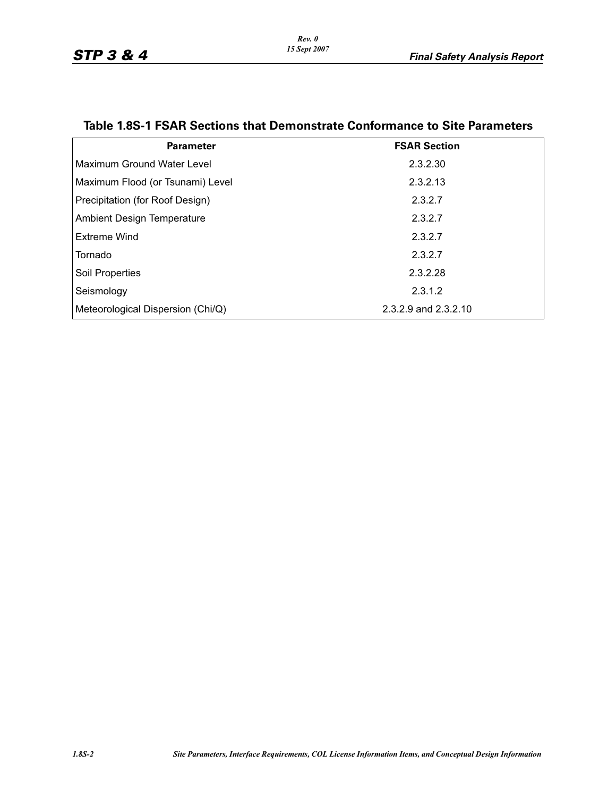| <b>Parameter</b>                  | <b>FSAR Section</b>  |
|-----------------------------------|----------------------|
| Maximum Ground Water Level        | 2.3.2.30             |
| Maximum Flood (or Tsunami) Level  | 2.3.2.13             |
| Precipitation (for Roof Design)   | 2.3.2.7              |
| Ambient Design Temperature        | 2.3.2.7              |
| Extreme Wind                      | 2.3.2.7              |
| Tornado                           | 2.3.2.7              |
| Soil Properties                   | 2.3.2.28             |
| Seismology                        | 2.3.1.2              |
| Meteorological Dispersion (Chi/Q) | 2.3.2.9 and 2.3.2.10 |

# **Table 1.8S-1 FSAR Sections that Demonstrate Conformance to Site Parameters**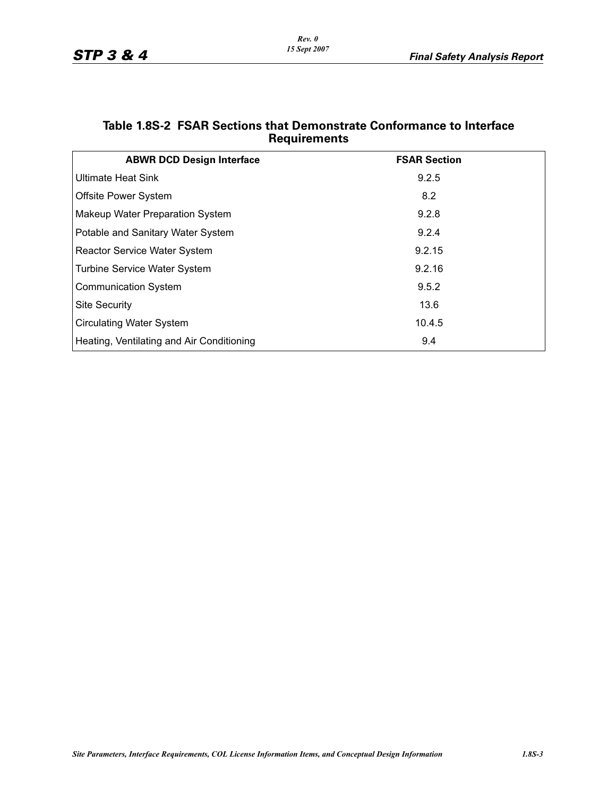| <b>ABWR DCD Design Interface</b>          | <b>FSAR Section</b> |
|-------------------------------------------|---------------------|
| <b>Ultimate Heat Sink</b>                 | 9.2.5               |
| <b>Offsite Power System</b>               | 8.2                 |
| <b>Makeup Water Preparation System</b>    | 9.2.8               |
| Potable and Sanitary Water System         | 9.2.4               |
| <b>Reactor Service Water System</b>       | 9.2.15              |
| <b>Turbine Service Water System</b>       | 9.2.16              |
| <b>Communication System</b>               | 9.5.2               |
| <b>Site Security</b>                      | 13.6                |
| <b>Circulating Water System</b>           | 10.4.5              |
| Heating, Ventilating and Air Conditioning | 9.4                 |

## **Table 1.8S-2 FSAR Sections that Demonstrate Conformance to Interface Requirements**